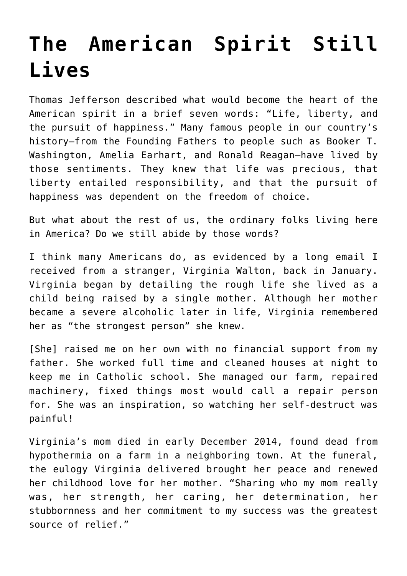## **[The American Spirit Still](https://intellectualtakeout.org/2022/03/the-american-spirit-still-lives/) [Lives](https://intellectualtakeout.org/2022/03/the-american-spirit-still-lives/)**

Thomas Jefferson described what would become the heart of the American spirit in a brief seven words: "Life, liberty, and the pursuit of happiness." Many famous people in our country's history—from the Founding Fathers to people such as Booker T. Washington, Amelia Earhart, and Ronald Reagan—have lived by those sentiments. They knew that life was precious, that liberty entailed responsibility, and that the pursuit of happiness was dependent on the freedom of choice.

But what about the rest of us, the ordinary folks living here in America? Do we still abide by those words?

I think many Americans do, as evidenced by a long email I received from a stranger, Virginia Walton, back in January. Virginia began by detailing the rough life she lived as a child being raised by a single mother. Although her mother became a severe alcoholic later in life, Virginia remembered her as "the strongest person" she knew.

[She] raised me on her own with no financial support from my father. She worked full time and cleaned houses at night to keep me in Catholic school. She managed our farm, repaired machinery, fixed things most would call a repair person for. She was an inspiration, so watching her self-destruct was painful!

Virginia's mom died in early December 2014, found dead from hypothermia on a farm in a neighboring town. At the funeral, the eulogy Virginia delivered brought her peace and renewed her childhood love for her mother. "Sharing who my mom really was, her strength, her caring, her determination, her stubbornness and her commitment to my success was the greatest source of relief."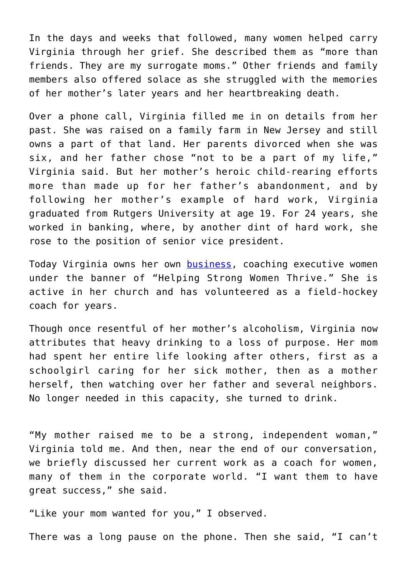In the days and weeks that followed, many women helped carry Virginia through her grief. She described them as "more than friends. They are my surrogate moms." Other friends and family members also offered solace as she struggled with the memories of her mother's later years and her heartbreaking death.

Over a phone call, Virginia filled me in on details from her past. She was raised on a family farm in New Jersey and still owns a part of that land. Her parents divorced when she was six, and her father chose "not to be a part of my life," Virginia said. But her mother's heroic child-rearing efforts more than made up for her father's abandonment, and by following her mother's example of hard work, Virginia graduated from Rutgers University at age 19. For 24 years, she worked in banking, where, by another dint of hard work, she rose to the position of senior vice president.

Today Virginia owns her own [business,](http://virginiawalton.com/) coaching executive women under the banner of "Helping Strong Women Thrive." She is active in her church and has volunteered as a field-hockey coach for years.

Though once resentful of her mother's alcoholism, Virginia now attributes that heavy drinking to a loss of purpose. Her mom had spent her entire life looking after others, first as a schoolgirl caring for her sick mother, then as a mother herself, then watching over her father and several neighbors. No longer needed in this capacity, she turned to drink.

"My mother raised me to be a strong, independent woman," Virginia told me. And then, near the end of our conversation, we briefly discussed her current work as a coach for women, many of them in the corporate world. "I want them to have great success," she said.

"Like your mom wanted for you," I observed.

There was a long pause on the phone. Then she said, "I can't